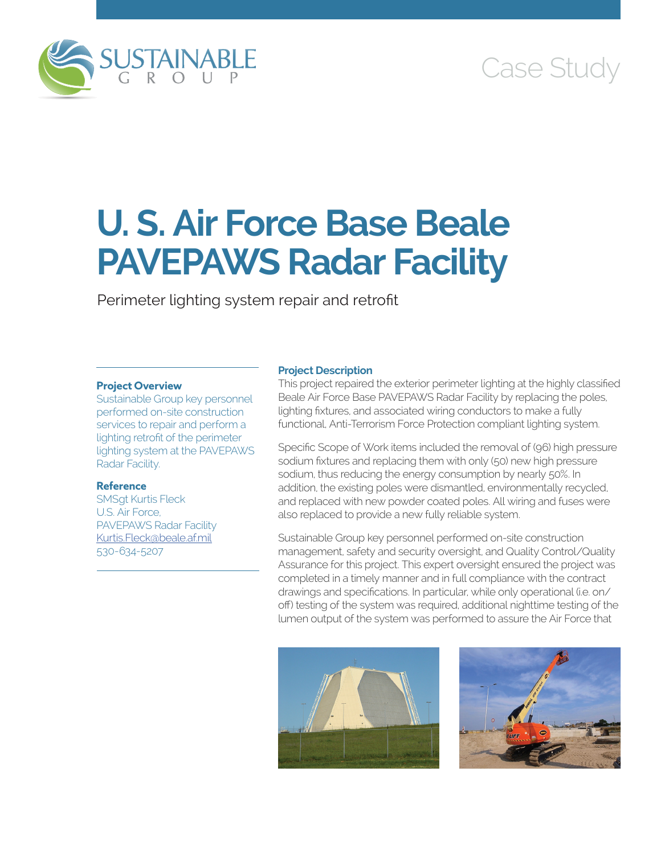

# Case Study

# **U. S. Air Force Base Beale PAVEPAWS Radar Facility**

Perimeter lighting system repair and retrofit

# **Project Overview**

Sustainable Group key personnel performed on-site construction services to repair and perform a lighting retrofit of the perimeter lighting system at the PAVEPAWS Radar Facility.

# **Reference**

SMSgt Kurtis Fleck U.S. Air Force, PAVEPAWS Radar Facility [Kurtis.Fleck@beale.af.mil](mailto:Kurtis.Fleck@beale.af.mil) 530-634-5207

### **Project Description**

This project repaired the exterior perimeter lighting at the highly classified Beale Air Force Base PAVEPAWS Radar Facility by replacing the poles, lighting fixtures, and associated wiring conductors to make a fully functional, Anti-Terrorism Force Protection compliant lighting system.

Specific Scope of Work items included the removal of (96) high pressure sodium fixtures and replacing them with only (50) new high pressure sodium, thus reducing the energy consumption by nearly 50%. In addition, the existing poles were dismantled, environmentally recycled, and replaced with new powder coated poles. All wiring and fuses were also replaced to provide a new fully reliable system.

Sustainable Group key personnel performed on-site construction management, safety and security oversight, and Quality Control/Quality Assurance for this project. This expert oversight ensured the project was completed in a timely manner and in full compliance with the contract drawings and specifications. In particular, while only operational (i.e. on/ off) testing of the system was required, additional nighttime testing of the lumen output of the system was performed to assure the Air Force that